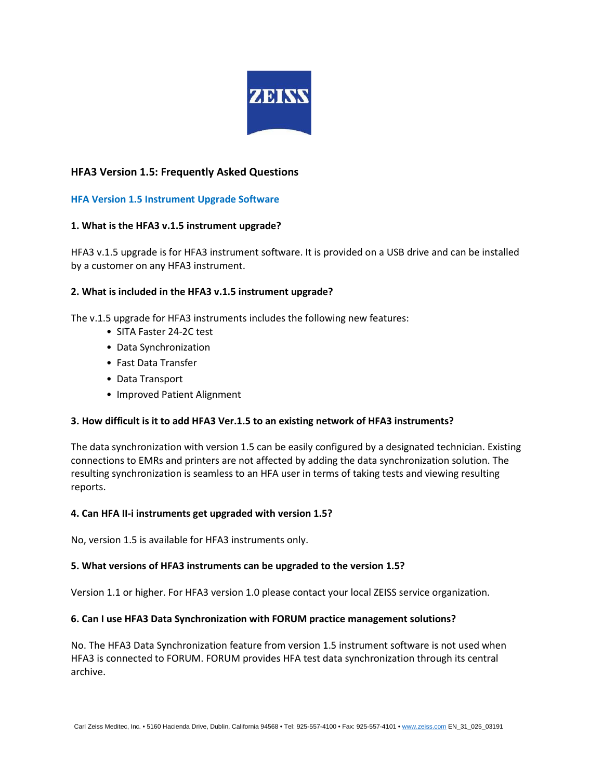

# **HFA3 Version 1.5: Frequently Asked Questions**

## **HFA Version 1.5 Instrument Upgrade Software**

## **1. What is the HFA3 v.1.5 instrument upgrade?**

HFA3 v.1.5 upgrade is for HFA3 instrument software. It is provided on a USB drive and can be installed by a customer on any HFA3 instrument.

## **2. What is included in the HFA3 v.1.5 instrument upgrade?**

The v.1.5 upgrade for HFA3 instruments includes the following new features:

- SITA Faster 24-2C test
- Data Synchronization
- Fast Data Transfer
- Data Transport
- Improved Patient Alignment

## **3. How difficult is it to add HFA3 Ver.1.5 to an existing network of HFA3 instruments?**

The data synchronization with version 1.5 can be easily configured by a designated technician. Existing connections to EMRs and printers are not affected by adding the data synchronization solution. The resulting synchronization is seamless to an HFA user in terms of taking tests and viewing resulting reports.

### **4. Can HFA II-i instruments get upgraded with version 1.5?**

No, version 1.5 is available for HFA3 instruments only.

## **5. What versions of HFA3 instruments can be upgraded to the version 1.5?**

Version 1.1 or higher. For HFA3 version 1.0 please contact your local ZEISS service organization.

### **6. Can I use HFA3 Data Synchronization with FORUM practice management solutions?**

No. The HFA3 Data Synchronization feature from version 1.5 instrument software is not used when HFA3 is connected to FORUM. FORUM provides HFA test data synchronization through its central archive.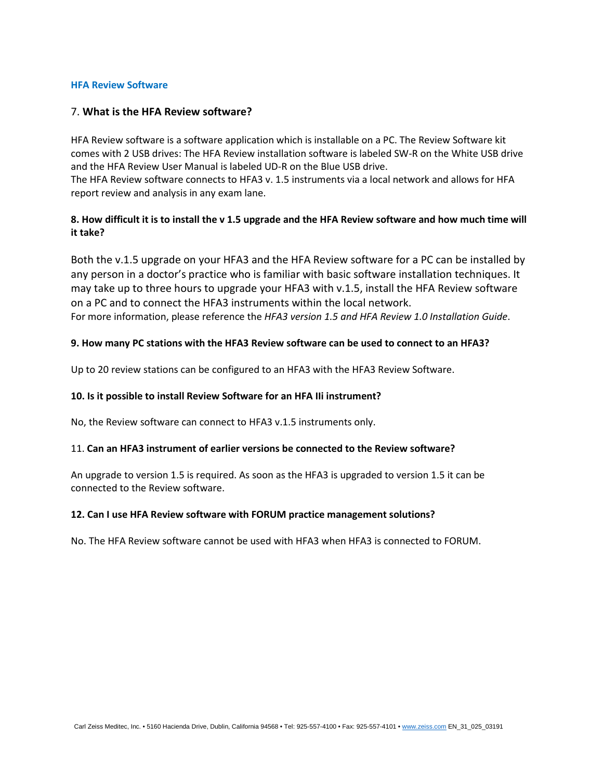#### **HFA Review Software**

## 7. **What is the HFA Review software?**

HFA Review software is a software application which is installable on a PC. The Review Software kit comes with 2 USB drives: The HFA Review installation software is labeled SW-R on the White USB drive and the HFA Review User Manual is labeled UD-R on the Blue USB drive.

The HFA Review software connects to HFA3 v. 1.5 instruments via a local network and allows for HFA report review and analysis in any exam lane.

# **8. How difficult it is to install the v 1.5 upgrade and the HFA Review software and how much time will it take?**

Both the v.1.5 upgrade on your HFA3 and the HFA Review software for a PC can be installed by any person in a doctor's practice who is familiar with basic software installation techniques. It may take up to three hours to upgrade your HFA3 with v.1.5, install the HFA Review software on a PC and to connect the HFA3 instruments within the local network. For more information, please reference the *HFA3 version 1.5 and HFA Review 1.0 Installation Guide*.

## **9. How many PC stations with the HFA3 Review software can be used to connect to an HFA3?**

Up to 20 review stations can be configured to an HFA3 with the HFA3 Review Software.

### **10. Is it possible to install Review Software for an HFA IIi instrument?**

No, the Review software can connect to HFA3 v.1.5 instruments only.

### 11. **Can an HFA3 instrument of earlier versions be connected to the Review software?**

An upgrade to version 1.5 is required. As soon as the HFA3 is upgraded to version 1.5 it can be connected to the Review software.

### **12. Can I use HFA Review software with FORUM practice management solutions?**

No. The HFA Review software cannot be used with HFA3 when HFA3 is connected to FORUM.